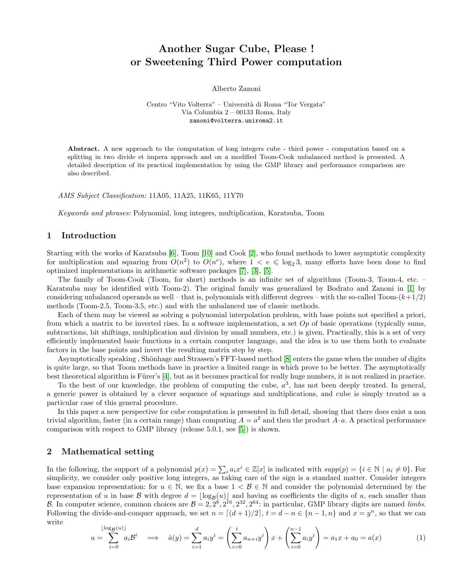# Another Sugar Cube, Please ! or Sweetening Third Power computation

Alberto Zanoni

Centro "Vito Volterra" – Università di Roma "Tor Vergata" Via Columbia 2 – 00133 Roma, Italy zanoni@volterra.uniroma2.it

Abstract. A new approach to the computation of long integers cube - third power - computation based on a splitting in two divide et impera approach and on a modified Toom-Cook unbalanced method is presented. A detailed description of its practical implementation by using the GMP library and performance comparison are also described.

AMS Subject Classification: 11A05, 11A25, 11K65, 11Y70

Keywords and phrases: Polynomial, long integers, multiplication, Karatsuba, Toom

## 1 Introduction

Starting with the works of Karatsuba [\[6\]](#page-3-0), Toom [\[10\]](#page-3-1) and Cook [\[2\]](#page-3-2), who found methods to lower asymptotic complexity for multiplication and squaring from  $O(n^2)$  to  $O(n^e)$ , where  $1 < e \leq \log_2 3$ , many efforts have been done to find optimized implementations in arithmetic software packages [\[7\]](#page-3-3), [\[3\]](#page-3-4), [\[5\]](#page-3-5).

The family of Toom-Cook (Toom, for short) methods is an infinite set of algorithms (Toom-3, Toom-4, etc. – Karatsuba may be identified with Toom-2). The original family was generalized by Bodrato and Zanoni in [\[1\]](#page-3-6) by considering unbalanced operands as well – that is, polynomials with different degrees – with the so-called Toom- $(k+1/2)$ methods (Toom-2.5, Toom-3.5, etc.) and with the unbalanced use of classic methods.

Each of them may be viewed as solving a polynomial interpolation problem, with base points not specified a priori, from which a matrix to be inverted rises. In a software implementation, a set  $Op$  of basic operations (typically sums, subtractions, bit shiftings, multiplication and division by small numbers, etc.) is given. Practically, this is a set of very efficiently implemented basic functions in a certain computer language, and the idea is to use them both to evaluate factors in the base points and invert the resulting matrix step by step.

Asymptotically speaking, Shönhage and Strassen's FFT-based method [\[8\]](#page-3-7) enters the game when the number of digits is quite large, so that Toom methods have in practice a limited range in which prove to be better. The asymptotically best theoretical algorithm is Fürer's [\[4\]](#page-3-8), but as it becomes practical for really huge numbers, it is not realized in practice.

To the best of our knowledge, the problem of computing the cube,  $a^3$ , has not been deeply treated. In general, a generic power is obtained by a clever sequence of squarings and multiplications, and cube is simply treated as a particular case of this general procedure.

In this paper a new perspective for cube computation is presented in full detail, showing that there does exist a non trivial algorithm, faster (in a certain range) than computing  $A = a^2$  and then the product  $A \cdot a$ . A practical performance comparison with respect to GMP library (release 5.0.1, see [\[5\]](#page-3-5)) is shown.

# 2 Mathematical setting

In the following, the support of a polynomial  $p(x) = \sum_i a_i x^i \in \mathbb{Z}[x]$  is indicated with  $supp(p) = \{i \in \mathbb{N} \mid a_i \neq 0\}$ . For simplicity, we consider only positive long integers, as taking care of the sign is a standard matter. Consider integers base expansion representation: for  $u \in \mathbb{N}$ , we fix a base  $1 \lt B \in \mathbb{N}$  and consider the polynomial determined by the representation of u in base B with degree  $d = \lfloor \log_B(u) \rfloor$  and having as coefficients the digits of u, each smaller than B. In computer science, common choices are  $B = 2, 2^8, 2^{16}, 2^{32}, 2^{64}$ : in particular, GMP library digits are named *limbs*. Following the divide-and-conquer approach, we set  $n = \lfloor (d+1)/2 \rfloor$ ,  $t = d - n \in \{n-1, n\}$  and  $x = y^n$ , so that we can write

<span id="page-0-0"></span>
$$
u = \sum_{i=0}^{\lfloor \log_B(u) \rfloor} a_i \mathcal{B}^i \implies \hat{a}(y) = \sum_{i=1}^d a_i y^i = \left( \sum_{i=0}^t a_{n+i} y^i \right) x + \left( \sum_{i=0}^{n-1} a_i y^i \right) = a_1 x + a_0 = a(x) \tag{1}
$$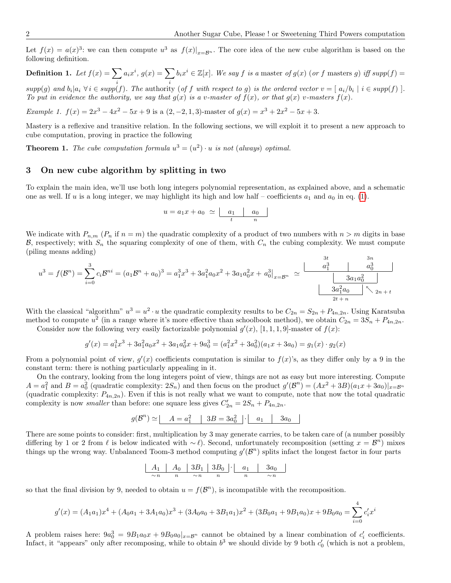Let  $f(x) = a(x)^3$ : we can then compute  $u^3$  as  $f(x)|_{x=B^n}$ . The core idea of the new cube algorithm is based on the following definition.

**Definition 1.** Let  $f(x) = \sum a_i x^i$ ,  $g(x) = \sum b_i x^i \in \mathbb{Z}[x]$ . We say f is a master of  $g(x)$  (or f masters g) iff supp(f) =  $supp(g)$  and  $b_i|a_i \forall i \in supp(f)$ . The authority (of f with respect to g) is the ordered vector  $v = [a_i/b_i \mid i \in supp(f)]$ . To put in evidence the authority, we say that  $g(x)$  is a v-master of  $f(x)$ , or that  $g(x)$  v-masters  $f(x)$ .

Example 1.  $f(x) = 2x^3 - 4x^2 - 5x + 9$  is a  $(2, -2, 1, 3)$ -master of  $g(x) = x^3 + 2x^2 - 5x + 3$ .

Mastery is a reflexive and transitive relation. In the following sections, we will exploit it to present a new approach to cube computation, proving in practice the following

**Theorem 1.** The cube computation formula  $u^3 = (u^2) \cdot u$  is not (always) optimal.

### 3 On new cube algorithm by splitting in two

To explain the main idea, we'll use both long integers polynomial representation, as explained above, and a schematic one as well. If u is a long integer, we may highlight its high and low half – coefficients  $a_1$  and  $a_0$  in eq. [\(1\)](#page-0-0).

$$
u = a_1 x + a_0 \simeq \underbrace{\qquad a_1 \qquad a_0 \qquad}_{t \qquad n}
$$

We indicate with  $P_{n,m}$  ( $P_n$  if  $n = m$ ) the quadratic complexity of a product of two numbers with  $n > m$  digits in base B, respectively; with  $S_n$  the squaring complexity of one of them, with  $C_n$  the cubing complexity. We must compute (piling means adding)

$$
u^{3} = f(B^{n}) = \sum_{i=0}^{3} c_{i}B^{ni} = (a_{1}B^{n} + a_{0})^{3} = a_{1}^{3}x^{3} + 3a_{1}^{2}a_{0}x^{2} + 3a_{1}a_{0}^{2}x + a_{0}^{3}\Big|_{x=B^{n}} \simeq \frac{\frac{3t}{a_{1}^{3}}}{\frac{3a_{1}a_{0}^{2}}{\frac{3a_{1}a_{0}^{2}}{\lambda_{2n+1}}}}}{\frac{3a_{1}a_{0}^{2}}{\lambda_{2n+1}}}
$$

With the classical "algorithm"  $u^3 = u^2 \cdot u$  the quadratic complexity results to be  $C_{2n} = S_{2n} + P_{4n,2n}$ . Using Karatsuba method to compute  $u^2$  (in a range where it's more effective than schoolbook method), we obtain  $C_{2n} = 3S_n + P_{4n,2n}$ .

Consider now the following very easily factorizable polynomial  $g'(x)$ , [1, 1, 1, 9]-master of  $f(x)$ :

$$
g'(x) = a_1^3 x^3 + 3a_1^2 a_0 x^2 + 3a_1 a_0^2 x + 9a_0^3 = (a_1^2 x^2 + 3a_0^2)(a_1 x + 3a_0) = g_1(x) \cdot g_2(x)
$$

From a polynomial point of view,  $g'(x)$  coefficients computation is similar to  $f(x)$ 's, as they differ only by a 9 in the constant term: there is nothing particularly appealing in it.

On the contrary, looking from the long integers point of view, things are not as easy but more interesting. Compute  $A = a_1^2$  and  $B = a_0^2$  (quadratic complexity:  $2S_n$ ) and then focus on the product  $g'(\mathcal{B}^n) = (Ax^2 + 3B)(a_1x + 3a_0)|_{x=\mathcal{B}^n}$ (quadratic complexity:  $P_{4n,2n}$ ). Even if this is not really what we want to compute, note that now the total quadratic complexity is now *smaller* than before: one square less gives  $C'_{2n} = 2S_n + P_{4n,2n}$ .

$$
g(\mathcal{B}^n) \simeq \begin{array}{|c|c|c|c|c|} \hline A=a_1^2 & 3B=3a_0^2 & a_1 & 3a_0 \hline \end{array}
$$

There are some points to consider: first, multiplication by 3 may generate carries, to be taken care of (a number possibly differing by 1 or 2 from  $\ell$  is below indicated with ~  $\ell$ ). Second, unfortunately recomposition (setting  $x = \mathcal{B}^n$ ) mixes things up the wrong way. Unbalanced Toom-3 method computing  $g'(\mathcal{B}^n)$  splits infact the longest factor in four parts

$$
\begin{array}{|c|c|c|c|c|c|c|c|} \hline A_1 & A_0 & 3B_1 & 3B_0 & a_1 & 3a_0 \\ \hline \sim n & n & \sim n & n & \sim n \\ \hline \end{array}
$$

so that the final division by 9, needed to obtain  $u = f(\mathcal{B}^n)$ , is incompatible with the recomposition.

$$
g'(x) = (A_1a_1)x^4 + (A_0a_1 + 3A_1a_0)x^3 + (3A_0a_0 + 3B_1a_1)x^2 + (3B_0a_1 + 9B_1a_0)x + 9B_0a_0 = \sum_{i=0}^{4} c'_ix^i
$$

A problem raises here:  $9a_0^3 = 9B_1a_0x + 9B_0a_0x$ <sub>x=B<sup>n</sup></sub> cannot be obtained by a linear combination of  $c'_i$  coefficients. Infact, it "appears" only after recomposing, while to obtain  $b^3$  we should divide by 9 both  $c'_0$  (which is not a problem,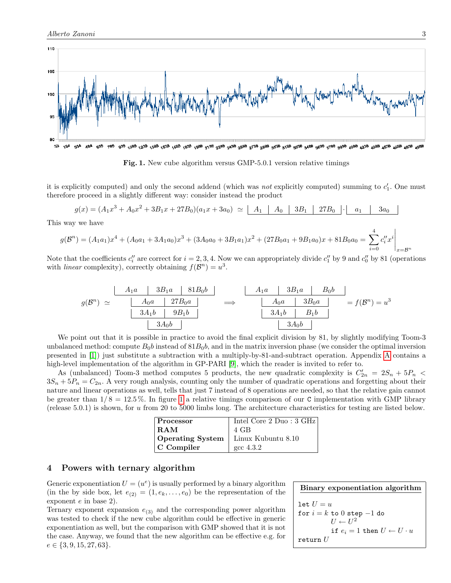

<span id="page-2-0"></span>Fig. 1. New cube algorithm versus GMP-5.0.1 version relative timings

it is explicitly computed) and only the second addend (which was *not* explicitly computed) summing to  $c'_1$ . One must therefore proceed in a slightly different way: consider instead the product

 $g(x) = (A_1x^3 + A_0x^2 + 3B_1x + 27B_0)(a_1x + 3a_0) \simeq |A_1 | A_0 | 3B_1 | 27B_0 | \cdot | a_1 | 3a_0$ 

This way we have

$$
g(\mathcal{B}^{n}) = (A_{1}a_{1})x^{4} + (A_{0}a_{1} + 3A_{1}a_{0})x^{3} + (3A_{0}a_{0} + 3B_{1}a_{1})x^{2} + (27B_{0}a_{1} + 9B_{1}a_{0})x + 81B_{0}a_{0} = \sum_{i=0}^{4} c_{i}''x^{i} \bigg|_{x = \mathcal{B}^{n}}
$$

Note that the coefficients  $c''_i$  are correct for  $i = 2, 3, 4$ . Now we can appropriately divide  $c''_1$  by 9 and  $c''_0$  by 81 (operations with *linear* complexity), correctly obtaining  $f(\mathcal{B}^n) = u^3$ .

$$
g(\mathcal{B}^n) \simeq \begin{array}{|c|c|c|c|c|c|c|} \hline A_1a & 3B_1a & 81B_0b & & & A_1a & 3B_1a & B_0b \\ \hline A_0a & 27B_0a & & & & A_0a & 3B_0a & \\ \hline 3A_1b & 9B_1b & & & & 3A_1b & B_1b \\ \hline & 3A_0b & & & & & 3A_0b \\\hline \end{array} \Longrightarrow \begin{array}{|c|c|c|c|c|c|c|} \hline A_1a & 3B_1a & B_0b & & \\ \hline A_0a & 3B_0a & & & & \\ \hline 3A_1b & B_1b & & & \\ \hline & 3A_0b & & & & \\\hline \end{array} = f(\mathcal{B}^n) = u^3
$$

We point out that it is possible in practice to avoid the final explicit division by 81, by slightly modifying Toom-3 unbalanced method: compute  $B_0b$  instead of  $81B_0b$ , and in the matrix inversion phase (we consider the optimal inversion presented in [\[1\]](#page-3-6)) just substitute a subtraction with a multiply-by-81-and-subtract operation. Appendix [A](#page-4-0) contains a high-level implementation of the algorithm in GP-PARI [\[9\]](#page-3-9), which the reader is invited to refer to.

As (unbalanced) Toom-3 method computes 5 products, the new quadratic complexity is  $C'_{2n} = 2S_n + 5P_n$  $3S_n + 5P_n = C_{2n}$ . A very rough analysis, counting only the number of quadratic operations and forgetting about their nature and linear operations as well, tells that just 7 instead of 8 operations are needed, so that the relative gain cannot be greater than  $1/8 = 12.5\%$  $1/8 = 12.5\%$  $1/8 = 12.5\%$ . In figure 1 a relative timings comparison of our C implementation with GMP library (release 5.0.1) is shown, for u from 20 to 5000 limbs long. The architecture characteristics for testing are listed below.

| Processor          | Intel Core $2$ Duo: $3$ GHz |
|--------------------|-----------------------------|
| RAM                | 4 GB                        |
| Operating System   | Linux Kubuntu 8.10          |
| $\vert$ C Compiler | $\csc 4.3.2$                |

#### 4 Powers with ternary algorithm

Generic exponentiation  $U = (u^e)$  is usually performed by a binary algorithm (in the by side box, let  $e_{(2)} = (1, e_k, \ldots, e_0)$  be the representation of the exponent e in base 2).

Ternary exponent expansion  $e_{(3)}$  and the corresponding power algorithm was tested to check if the new cube algorithm could be effective in generic exponentiation as well, but the comparison with GMP showed that it is not the case. Anyway, we found that the new algorithm can be effective e.g. for  $e \in \{3, 9, 15, 27, 63\}.$ 

```
Binary exponentiation algorithm
let U = ufor i = k to 0 step -1 do
           U \leftarrow U^2if e_i = 1 then U \leftarrow U \cdot ureturn U
```
4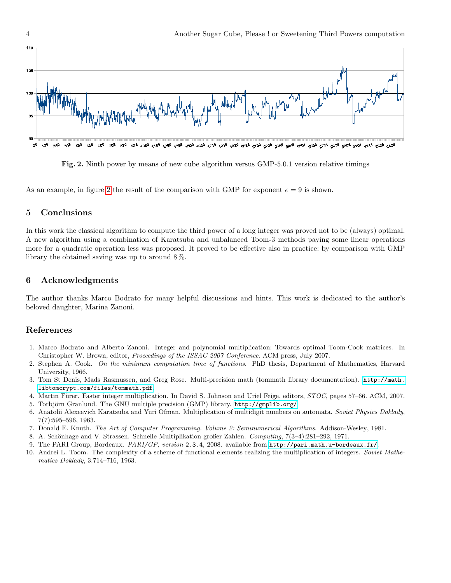

<span id="page-3-10"></span>Fig. 2. Ninth power by means of new cube algorithm versus GMP-5.0.1 version relative timings

As an example, in figure [2](#page-3-10) the result of the comparison with GMP for exponent  $e = 9$  is shown.

# 5 Conclusions

In this work the classical algorithm to compute the third power of a long integer was proved not to be (always) optimal. A new algorithm using a combination of Karatsuba and unbalanced Toom-3 methods paying some linear operations more for a quadratic operation less was proposed. It proved to be effective also in practice: by comparison with GMP library the obtained saving was up to around 8 %.

## 6 Acknowledgments

The author thanks Marco Bodrato for many helpful discussions and hints. This work is dedicated to the author's beloved daughter, Marina Zanoni.

# References

- <span id="page-3-6"></span>1. Marco Bodrato and Alberto Zanoni. Integer and polynomial multiplication: Towards optimal Toom-Cook matrices. In Christopher W. Brown, editor, Proceedings of the ISSAC 2007 Conference. ACM press, July 2007.
- <span id="page-3-2"></span>2. Stephen A. Cook. On the minimum computation time of functions. PhD thesis, Department of Mathematics, Harvard University, 1966.
- <span id="page-3-4"></span>3. Tom St Denis, Mads Rasmussen, and Greg Rose. Multi-precision math (tommath library documentation). [http://math.](http://math.libtomcrypt.com/files/tommath.pdf) [libtomcrypt.com/files/tommath.pdf](http://math.libtomcrypt.com/files/tommath.pdf).
- <span id="page-3-8"></span>4. Martin Fürer. Faster integer multiplication. In David S. Johnson and Uriel Feige, editors,  $STOC$ , pages 57–66. ACM, 2007.
- <span id="page-3-5"></span>5. Torbjörn Granlund. The GNU multiple precision (GMP) library.  $http://gmplib.org/$ .
- <span id="page-3-0"></span>6. Anatolii Alexeevich Karatsuba and Yuri Ofman. Multiplication of multidigit numbers on automata. Soviet Physics Doklady, 7(7):595–596, 1963.
- <span id="page-3-3"></span>7. Donald E. Knuth. The Art of Computer Programming. Volume 2: Seminumerical Algorithms. Addison-Wesley, 1981.
- <span id="page-3-7"></span>8. A. Schönhage and V. Strassen. Schnelle Multiplikation großer Zahlen. Computing, 7(3–4):281–292, 1971.
- <span id="page-3-9"></span>9. The PARI Group, Bordeaux. PARI/GP, version 2.3.4, 2008. available from <http://pari.math.u-bordeaux.fr/>.
- <span id="page-3-1"></span>10. Andrei L. Toom. The complexity of a scheme of functional elements realizing the multiplication of integers. Soviet Mathematics Doklady, 3:714–716, 1963.